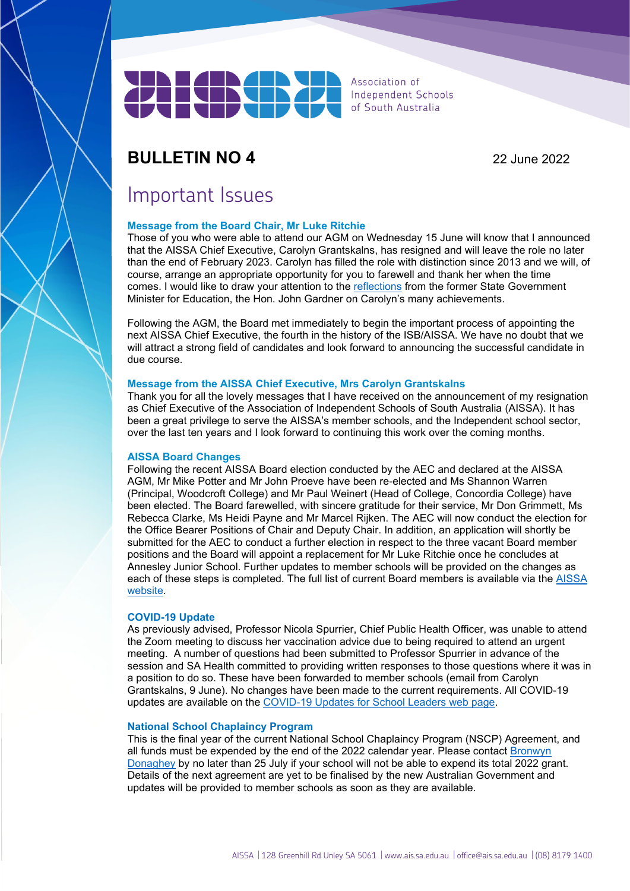

Association of Independent Schools of South Australia

## **BULLETIN NO 4** 22 June 2022

## Important Issues

## **Message from the Board Chair, Mr Luke Ritchie**

Those of you who were able to attend our AGM on Wednesday 15 June will know that I announced that the AISSA Chief Executive, Carolyn Grantskalns, has resigned and will leave the role no later than the end of February 2023. Carolyn has filled the role with distinction since 2013 and we will, of course, arrange an appropriate opportunity for you to farewell and thank her when the time comes. I would like to draw your attention to the [reflections](https://www.youtube.com/watch?v=HSQyjRm75hw) from the former State Government Minister for Education, the Hon. John Gardner on Carolyn's many achievements.

Following the AGM, the Board met immediately to begin the important process of appointing the next AISSA Chief Executive, the fourth in the history of the ISB/AISSA. We have no doubt that we will attract a strong field of candidates and look forward to announcing the successful candidate in due course.

## **Message from the AISSA Chief Executive, Mrs Carolyn Grantskalns**

Thank you for all the lovely messages that I have received on the announcement of my resignation as Chief Executive of the Association of Independent Schools of South Australia (AISSA). It has been a great privilege to serve the AISSA's member schools, and the Independent school sector, over the last ten years and I look forward to continuing this work over the coming months.

## **AISSA Board Changes**

Following the recent AISSA Board election conducted by the AEC and declared at the AISSA AGM, Mr Mike Potter and Mr John Proeve have been re-elected and Ms Shannon Warren (Principal, Woodcroft College) and Mr Paul Weinert (Head of College, Concordia College) have been elected. The Board farewelled, with sincere gratitude for their service, Mr Don Grimmett, Ms Rebecca Clarke, Ms Heidi Payne and Mr Marcel Rijken. The AEC will now conduct the election for the Office Bearer Positions of Chair and Deputy Chair. In addition, an application will shortly be submitted for the AEC to conduct a further election in respect to the three vacant Board member positions and the Board will appoint a replacement for Mr Luke Ritchie once he concludes at Annesley Junior School. Further updates to member schools will be provided on the changes as each of these steps is completed. The full list of current Board members is available via the [AISSA](https://www.ais.sa.edu.au/about-aissa/)  [website.](https://www.ais.sa.edu.au/about-aissa/)

#### **COVID-19 Update**

As previously advised, Professor Nicola Spurrier, Chief Public Health Officer, was unable to attend the Zoom meeting to discuss her vaccination advice due to being required to attend an urgent meeting. A number of questions had been submitted to Professor Spurrier in advance of the session and SA Health committed to providing written responses to those questions where it was in a position to do so. These have been forwarded to member schools (email from Carolyn Grantskalns, 9 June). No changes have been made to the current requirements. All COVID-19 updates are available on the [COVID-19 Updates for School Leaders web page.](https://www.ais.sa.edu.au/covid-19-updates-leaders/)

## **National School Chaplaincy Program**

This is the final year of the current National School Chaplaincy Program (NSCP) Agreement, and all funds must be expended by the end of the 2022 calendar year. Please contact [Bronwyn](mailto:donagheyb@ais.sa.edu.au)  [Donaghey](mailto:donagheyb@ais.sa.edu.au) by no later than 25 July if your school will not be able to expend its total 2022 grant. Details of the next agreement are yet to be finalised by the new Australian Government and updates will be provided to member schools as soon as they are available.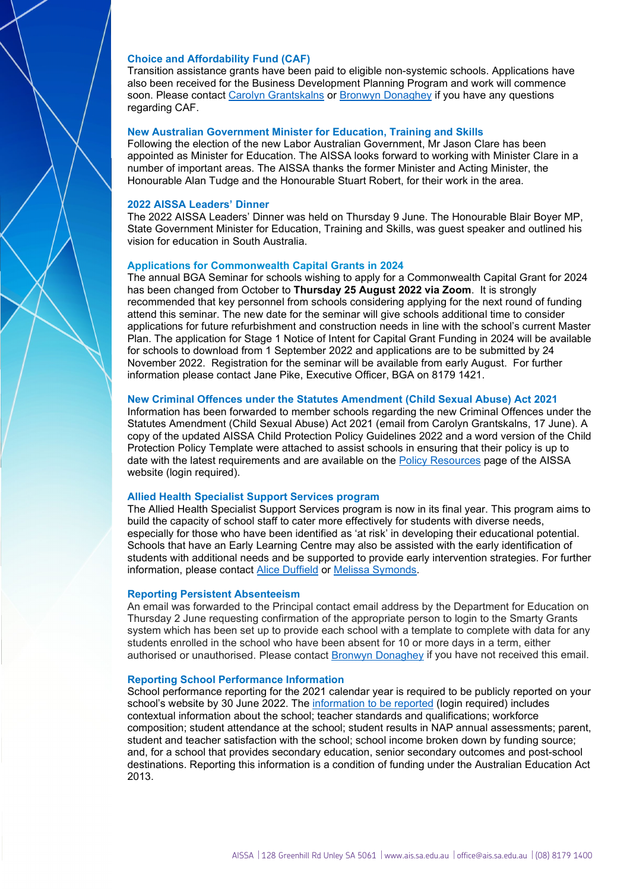#### **Choice and Affordability Fund (CAF)**

Transition assistance grants have been paid to eligible non-systemic schools. Applications have also been received for the Business Development Planning Program and work will commence soon. Please contact [Carolyn Grantskalns](mailto:grantskalnsc@ais.sa.edu.au) or [Bronwyn Donaghey](mailto:donagheyb@ais.sa.edu.au) if you have any questions regarding CAF.

#### **New Australian Government Minister for Education, Training and Skills**

Following the election of the new Labor Australian Government, Mr Jason Clare has been appointed as Minister for Education. The AISSA looks forward to working with Minister Clare in a number of important areas. The AISSA thanks the former Minister and Acting Minister, the Honourable Alan Tudge and the Honourable Stuart Robert, for their work in the area.

#### **2022 AISSA Leaders' Dinner**

The 2022 AISSA Leaders' Dinner was held on Thursday 9 June. The Honourable Blair Boyer MP, State Government Minister for Education, Training and Skills, was guest speaker and outlined his vision for education in South Australia.

### **Applications for Commonwealth Capital Grants in 2024**

The annual BGA Seminar for schools wishing to apply for a Commonwealth Capital Grant for 2024 has been changed from October to **Thursday 25 August 2022 via Zoom**. It is strongly recommended that key personnel from schools considering applying for the next round of funding attend this seminar. The new date for the seminar will give schools additional time to consider applications for future refurbishment and construction needs in line with the school's current Master Plan. The application for Stage 1 Notice of Intent for Capital Grant Funding in 2024 will be available for schools to download from 1 September 2022 and applications are to be submitted by 24 November 2022. Registration for the seminar will be available from early August. For further information please contact Jane Pike, Executive Officer, BGA on 8179 1421.

## **New Criminal Offences under the Statutes Amendment (Child Sexual Abuse) Act 2021**

Information has been forwarded to member schools regarding the new Criminal Offences under the Statutes Amendment (Child Sexual Abuse) Act 2021 (email from Carolyn Grantskalns, 17 June). A copy of the updated AISSA Child Protection Policy Guidelines 2022 and a word version of the Child Protection Policy Template were attached to assist schools in ensuring that their policy is up to date with the latest requirements and are available on the [Policy Resources](https://www.ais.sa.edu.au/policy-resources/) page of the AISSA website (login required).

## **Allied Health Specialist Support Services program**

The Allied Health Specialist Support Services program is now in its final year. This program aims to build the capacity of school staff to cater more effectively for students with diverse needs, especially for those who have been identified as 'at risk' in developing their educational potential. Schools that have an Early Learning Centre may also be assisted with the early identification of students with additional needs and be supported to provide early intervention strategies. For further information, please contact [Alice Duffield](mailto:duffielda@ais.sa.edu.au) or [Melissa Symonds.](mailto:symondsm@ais.sa.edu.au)

#### **Reporting Persistent Absenteeism**

An email was forwarded to the Principal contact email address by the Department for Education on Thursday 2 June requesting confirmation of the appropriate person to login to the Smarty Grants system which has been set up to provide each school with a template to complete with data for any students enrolled in the school who have been absent for 10 or more days in a term, either authorised or unauthorised. Please contact [Bronwyn Donaghey](mailto:donagheyb@ais.sa.edu.au) if you have not received this email.

#### **Reporting School Performance Information**

School performance reporting for the 2021 calendar year is required to be publicly reported on your school's website by 30 June 2022. The [information to be reported](https://www.ais.sa.edu.au/compliance-framework/school-performance-information/) (login required) includes contextual information about the school; teacher standards and qualifications; workforce composition; student attendance at the school; student results in NAP annual assessments; parent, student and teacher satisfaction with the school; school income broken down by funding source; and, for a school that provides secondary education, senior secondary outcomes and post-school destinations. Reporting this information is a condition of funding under the Australian Education Act 2013.